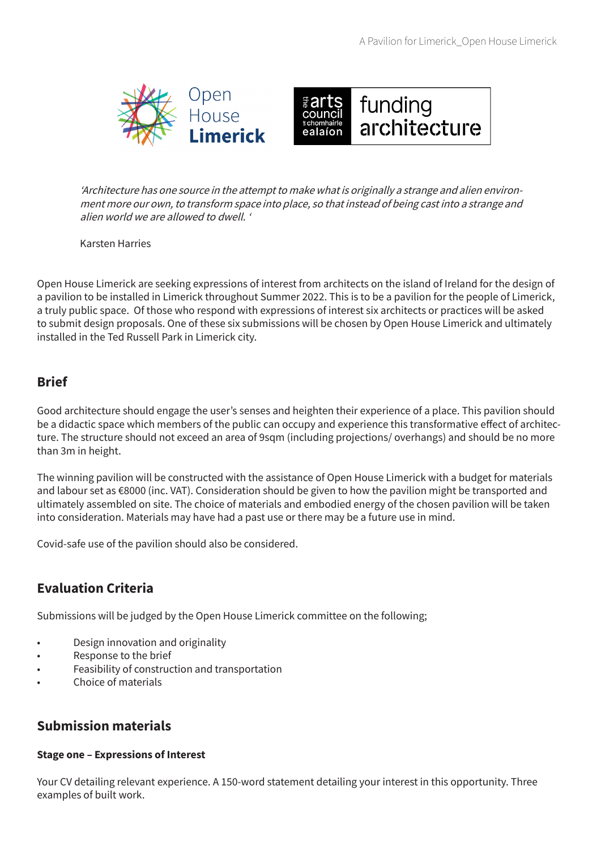



'Architecture has one source in the attempt to make what is originally a strange and alien environment more our own, to transform space into place, so that instead of being cast into a strange and alien world we are allowed to dwell. '

Karsten Harries

Open House Limerick are seeking expressions of interest from architects on the island of Ireland for the design of a pavilion to be installed in Limerick throughout Summer 2022. This is to be a pavilion for the people of Limerick, a truly public space. Of those who respond with expressions of interest six architects or practices will be asked to submit design proposals. One of these six submissions will be chosen by Open House Limerick and ultimately installed in the Ted Russell Park in Limerick city.

## **Brief**

Good architecture should engage the user's senses and heighten their experience of a place. This pavilion should be a didactic space which members of the public can occupy and experience this transformative effect of architecture. The structure should not exceed an area of 9sqm (including projections/ overhangs) and should be no more than 3m in height.

The winning pavilion will be constructed with the assistance of Open House Limerick with a budget for materials and labour set as €8000 (inc. VAT). Consideration should be given to how the pavilion might be transported and ultimately assembled on site. The choice of materials and embodied energy of the chosen pavilion will be taken into consideration. Materials may have had a past use or there may be a future use in mind.

Covid-safe use of the pavilion should also be considered.

## **Evaluation Criteria**

Submissions will be judged by the Open House Limerick committee on the following;

- Design innovation and originality
- Response to the brief
- Feasibility of construction and transportation
- Choice of materials

## **Submission materials**

#### **Stage one – Expressions of Interest**

Your CV detailing relevant experience. A 150-word statement detailing your interest in this opportunity. Three examples of built work.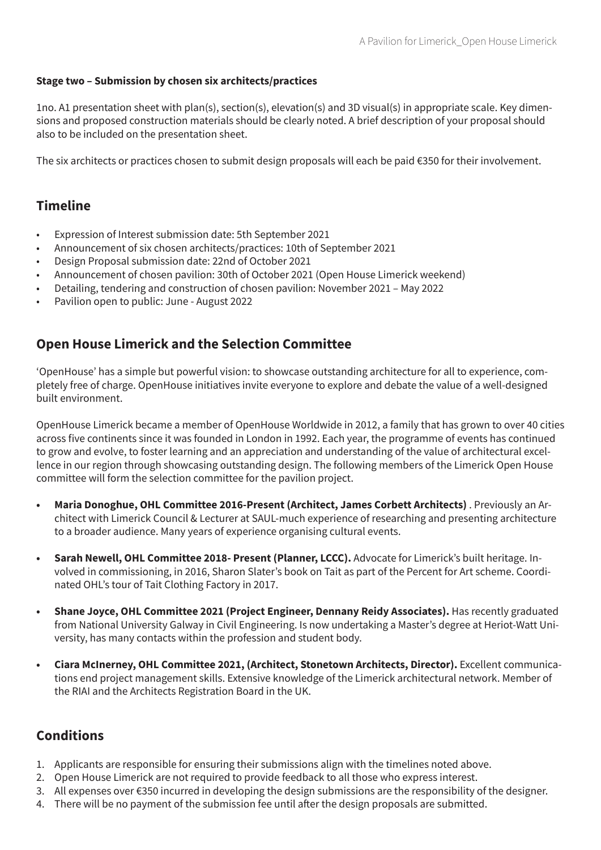#### **Stage two – Submission by chosen six architects/practices**

1no. A1 presentation sheet with plan(s), section(s), elevation(s) and 3D visual(s) in appropriate scale. Key dimensions and proposed construction materials should be clearly noted. A brief description of your proposal should also to be included on the presentation sheet.

The six architects or practices chosen to submit design proposals will each be paid €350 for their involvement.

## **Timeline**

- Expression of Interest submission date: 5th September 2021
- Announcement of six chosen architects/practices: 10th of September 2021
- Design Proposal submission date: 22nd of October 2021
- Announcement of chosen pavilion: 30th of October 2021 (Open House Limerick weekend)
- Detailing, tendering and construction of chosen pavilion: November 2021 May 2022
- Pavilion open to public: June August 2022

## **Open House Limerick and the Selection Committee**

'OpenHouse' has a simple but powerful vision: to showcase outstanding architecture for all to experience, completely free of charge. OpenHouse initiatives invite everyone to explore and debate the value of a well-designed built environment.

OpenHouse Limerick became a member of OpenHouse Worldwide in 2012, a family that has grown to over 40 cities across five continents since it was founded in London in 1992. Each year, the programme of events has continued to grow and evolve, to foster learning and an appreciation and understanding of the value of architectural excellence in our region through showcasing outstanding design. The following members of the Limerick Open House committee will form the selection committee for the pavilion project.

- **• Maria Donoghue, OHL Committee 2016-Present (Architect, James Corbett Architects)** . Previously an Architect with Limerick Council & Lecturer at SAUL-much experience of researching and presenting architecture to a broader audience. Many years of experience organising cultural events.
- **• Sarah Newell, OHL Committee 2018- Present (Planner, LCCC).** Advocate for Limerick's built heritage. Involved in commissioning, in 2016, Sharon Slater's book on Tait as part of the Percent for Art scheme. Coordinated OHL's tour of Tait Clothing Factory in 2017.
- **• Shane Joyce, OHL Committee 2021 (Project Engineer, Dennany Reidy Associates).** Has recently graduated from National University Galway in Civil Engineering. Is now undertaking a Master's degree at Heriot-Watt University, has many contacts within the profession and student body.
- **• Ciara McInerney, OHL Committee 2021, (Architect, Stonetown Architects, Director).** Excellent communications end project management skills. Extensive knowledge of the Limerick architectural network. Member of the RIAI and the Architects Registration Board in the UK.

# **Conditions**

- 1. Applicants are responsible for ensuring their submissions align with the timelines noted above.
- 2. Open House Limerick are not required to provide feedback to all those who express interest.
- 3. All expenses over €350 incurred in developing the design submissions are the responsibility of the designer.
- 4. There will be no payment of the submission fee until after the design proposals are submitted.